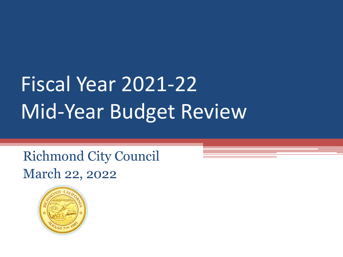## Fiscal Year 2021-22 Mid-Year Budget Review

Richmond City Council March 22, 2022

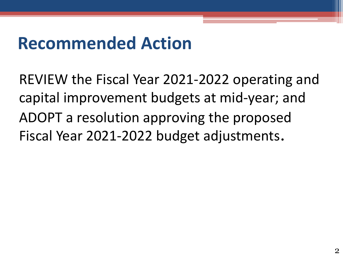## **Recommended Action**

REVIEW the Fiscal Year 2021-2022 operating and capital improvement budgets at mid-year; and ADOPT a resolution approving the proposed Fiscal Year 2021-2022 budget adjustments.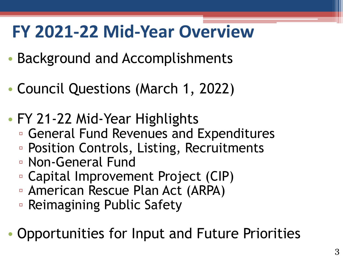## **FY 2021-22 Mid-Year Overview**

- Background and Accomplishments
- Council Questions (March 1, 2022)
- FY 21-22 Mid-Year Highlights
	- General Fund Revenues and Expenditures
	- Position Controls, Listing, Recruitments
	- Non-General Fund
	- Capital Improvement Project (CIP)
	- American Rescue Plan Act (ARPA)
	- Reimagining Public Safety
- Opportunities for Input and Future Priorities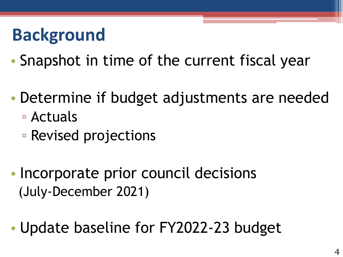## **Background**

- Snapshot in time of the current fiscal year
- Determine if budget adjustments are needed
	- Actuals
	- Revised projections
- Incorporate prior council decisions (July-December 2021)
- Update baseline for FY2022-23 budget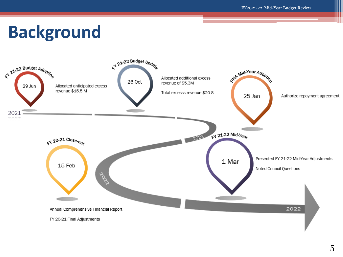## **Background**

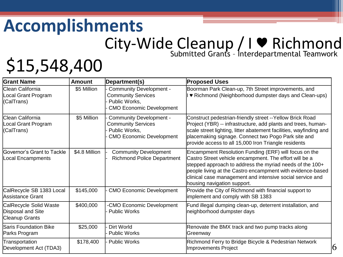#### **Accomplishments** City-Wide Cleanup / I ♥ Richmond Submitted Grants – Interdepartmental Teamwork

## \$15,548,400

| <b>Grant Name</b>                                                    | <b>Amount</b> | Department(s)                                                                                                   | <b>Proposed Uses</b>                                                                                                                                                                                                                                                                                                                  |
|----------------------------------------------------------------------|---------------|-----------------------------------------------------------------------------------------------------------------|---------------------------------------------------------------------------------------------------------------------------------------------------------------------------------------------------------------------------------------------------------------------------------------------------------------------------------------|
| <b>IClean California</b><br>ocal Grant Program<br>(CalTrans)         | \$5 Million   | <b>Community Development -</b><br><b>Community Services</b><br>Public Works,<br><b>CMO Economic Development</b> | Boorman Park Clean-up, 7th Street improvements, and<br>I ♥ Richmond (Neighborhood dumpster days and Clean-ups)                                                                                                                                                                                                                        |
| Clean California<br>ocal Grant Program<br>(CalTrans)                 | \$5 Million   | <b>Community Development -</b><br><b>Community Services</b><br>Public Works,<br><b>CMO Economic Development</b> | Construct pedestrian-friendly street -- Yellow Brick Road<br>Project (YBR) -- infrastructure, add plants and trees, human-<br>scale street lighting, litter abatement facilities, wayfinding and<br>placemaking signage. Connect two Pogo Park site and<br>provide access to all 15,000 Iron Triangle residents                       |
| <b>Governor's Grant to Tackle</b><br>Local Encampments               | \$4.8 Million | <b>Community Development</b><br><b>Richmond Police Department</b>                                               | Encampment Resolution Funding (ERF) will focus on the<br>Castro Street vehicle encampment. The effort will be a<br>stepped approach to address the myriad needs of the 100+<br>people living at the Castro encampment with evidence-based<br>clinical case management and intensive social service and<br>housing navigation support. |
| CalRecycle SB 1383 Local<br>Assistance Grant                         | \$145,000     | <b>CMO Economic Development</b>                                                                                 | Provide the City of Richmond with financial support to<br>implement and comply with SB 1383                                                                                                                                                                                                                                           |
| CalRecycle Solid Waste<br>Disposal and Site<br><b>Cleanup Grants</b> | \$400,000     | -CMO Economic Development<br><b>Public Works</b>                                                                | Fund illegal dumping clean-up, deterrent installation, and<br>neighborhood dumpster days                                                                                                                                                                                                                                              |
| <b>Saris Foundation Bike</b><br>Parks Program                        | \$25,000      | Dirt World<br><b>Public Works</b>                                                                               | Renovate the BMX track and two pump tracks along<br>Greenway                                                                                                                                                                                                                                                                          |
| Transportation<br>Development Act (TDA3)                             | \$178,400     | <b>Public Works</b>                                                                                             | Richmond Ferry to Bridge Bicycle & Pedestrian Network<br>16<br>Improvements Project                                                                                                                                                                                                                                                   |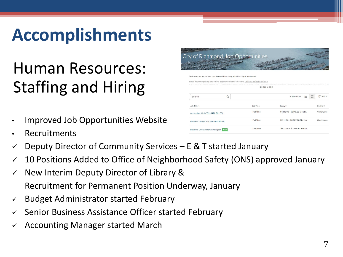## **Accomplishments**

## Human Resources: Staffing and Hiring

- Improved Job Opportunities Website
- **Recruitments**
- $\checkmark$  Deputy Director of Community Services E & T started January
- $\checkmark$  10 Positions Added to Office of Neighborhood Safety (ONS) approved January
- $\checkmark$  New Interim Deputy Director of Library & Recruitment for Permanent Position Underway, January
- $\checkmark$  Budget Administrator started February
- Senior Business Assistance Officer started February
- ✓ Accounting Manager started March

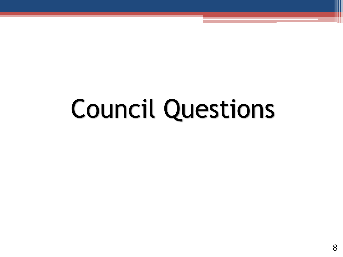# Council Questions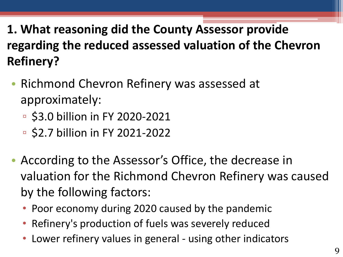#### **1. What reasoning did the County Assessor provide regarding the reduced assessed valuation of the Chevron Refinery?**

- Richmond Chevron Refinery was assessed at approximately:
	- \$3.0 billion in FY 2020-2021
	- \$2.7 billion in FY 2021-2022
- According to the Assessor's Office, the decrease in valuation for the Richmond Chevron Refinery was caused by the following factors:
	- Poor economy during 2020 caused by the pandemic
	- Refinery's production of fuels was severely reduced
	- Lower refinery values in general using other indicators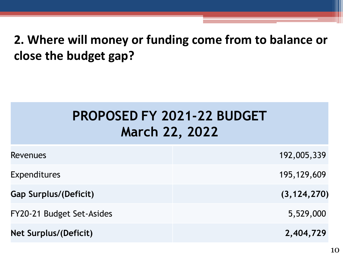#### **2. Where will money or funding come from to balance or close the budget gap?**

#### **PROPOSED FY 2021-22 BUDGET March 22, 2022**

| <b>Revenues</b>              | 192,005,339   |
|------------------------------|---------------|
| <b>Expenditures</b>          | 195, 129, 609 |
| <b>Gap Surplus/(Deficit)</b> | (3, 124, 270) |
| FY20-21 Budget Set-Asides    | 5,529,000     |
| <b>Net Surplus/(Deficit)</b> | 2,404,729     |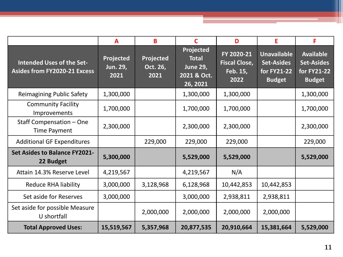|                                                                         | $\mathbf{A}$                         | B                             | C                                                                       | D                                                      | E                                                                       | F                                                                     |
|-------------------------------------------------------------------------|--------------------------------------|-------------------------------|-------------------------------------------------------------------------|--------------------------------------------------------|-------------------------------------------------------------------------|-----------------------------------------------------------------------|
| <b>Intended Uses of the Set-</b><br><b>Asides from FY2020-21 Excess</b> | Projected<br><b>Jun. 29,</b><br>2021 | Projected<br>Oct. 26,<br>2021 | Projected<br><b>Total</b><br><b>June 29,</b><br>2021 & Oct.<br>26, 2021 | FY 2020-21<br><b>Fiscal Close,</b><br>Feb. 15,<br>2022 | <b>Unavailable</b><br><b>Set-Asides</b><br>for FY21-22<br><b>Budget</b> | <b>Available</b><br><b>Set-Asides</b><br>for FY21-22<br><b>Budget</b> |
| <b>Reimagining Public Safety</b>                                        | 1,300,000                            |                               | 1,300,000                                                               | 1,300,000                                              |                                                                         | 1,300,000                                                             |
| <b>Community Facility</b><br>Improvements                               | 1,700,000                            |                               | 1,700,000                                                               | 1,700,000                                              |                                                                         | 1,700,000                                                             |
| Staff Compensation - One<br><b>Time Payment</b>                         | 2,300,000                            |                               | 2,300,000                                                               | 2,300,000                                              |                                                                         | 2,300,000                                                             |
| <b>Additional GF Expenditures</b>                                       |                                      | 229,000                       | 229,000                                                                 | 229,000                                                |                                                                         | 229,000                                                               |
| <b>Set Asides to Balance FY2021-</b><br>22 Budget                       | 5,300,000                            |                               | 5,529,000                                                               | 5,529,000                                              |                                                                         | 5,529,000                                                             |
| Attain 14.3% Reserve Level                                              | 4,219,567                            |                               | 4,219,567                                                               | N/A                                                    |                                                                         |                                                                       |
| <b>Reduce RHA liability</b>                                             | 3,000,000                            | 3,128,968                     | 6,128,968                                                               | 10,442,853                                             | 10,442,853                                                              |                                                                       |
| Set aside for Reserves                                                  | 3,000,000                            |                               | 3,000,000                                                               | 2,938,811                                              | 2,938,811                                                               |                                                                       |
| Set aside for possible Measure<br>U shortfall                           |                                      | 2,000,000                     | 2,000,000                                                               | 2,000,000                                              | 2,000,000                                                               |                                                                       |
| <b>Total Approved Uses:</b>                                             | 15,519,567                           | 5,357,968                     | 20,877,535                                                              | 20,910,664                                             | 15,381,664                                                              | 5,529,000                                                             |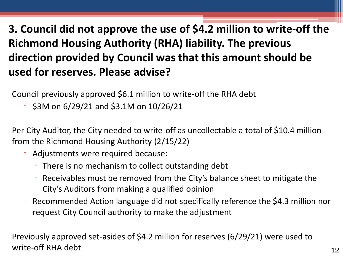#### **3. Council did not approve the use of \$4.2 million to write-off the Richmond Housing Authority (RHA) liability. The previous direction provided by Council was that this amount should be used for reserves. Please advise?**

Council previously approved \$6.1 million to write-off the RHA debt

 $\overline{5}$  \$3M on 6/29/21 and \$3.1M on 10/26/21

Per City Auditor, the City needed to write-off as uncollectable a total of \$10.4 million from the Richmond Housing Authority (2/15/22)

- Adjustments were required because:
	- There is no mechanism to collect outstanding debt
	- Receivables must be removed from the City's balance sheet to mitigate the City's Auditors from making a qualified opinion
- Recommended Action language did not specifically reference the \$4.3 million nor request City Council authority to make the adjustment

Previously approved set-asides of \$4.2 million for reserves (6/29/21) were used to write-off RHA debt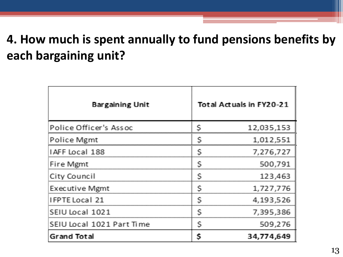#### **4. How much is spent annually to fund pensions benefits by each bargaining unit?**

| <b>Bargaining Unit</b>    |   | Total Actuals in FY20-21 |
|---------------------------|---|--------------------------|
| Police Officer's Assoc    |   | 12,035,153               |
| Police Mgmt               |   | 1,012,551                |
| IAFF Local 188            | S | 7,276,727                |
| Fire Mgmt                 | S | 500,791                  |
| City Council              | S | 123,463                  |
| <b>Executive Mgmt</b>     | S | 1,727,776                |
| IFPTE Local 21            | S | 4, 193, 526              |
| SEIU Local 1021           | S | 7,395,386                |
| SEIU Local 1021 Part Time | S | 509,276                  |
| <b>Grand Total</b>        | S | 34,774,649               |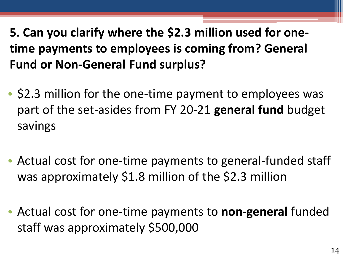**5. Can you clarify where the \$2.3 million used for onetime payments to employees is coming from? General Fund or Non-General Fund surplus?**

- \$2.3 million for the one-time payment to employees was part of the set-asides from FY 20-21 **general fund** budget savings
- Actual cost for one-time payments to general-funded staff was approximately \$1.8 million of the \$2.3 million
- Actual cost for one-time payments to **non-general** funded staff was approximately \$500,000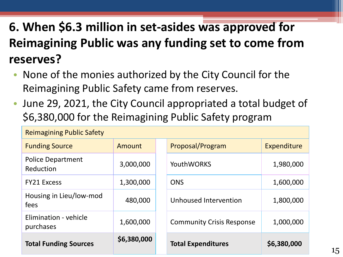#### **6. When \$6.3 million in set-asides was approved for Reimagining Public was any funding set to come from reserves?**

- None of the monies authorized by the City Council for the Reimagining Public Safety came from reserves.
- June 29, 2021, the City Council appropriated a total budget of \$6,380,000 for the Reimagining Public Safety program

| <b>Reimagining Public Safety</b>      |             |            |                                  |             |  |
|---------------------------------------|-------------|------------|----------------------------------|-------------|--|
| <b>Funding Source</b>                 | Amount      |            | Proposal/Program                 | Expenditure |  |
| <b>Police Department</b><br>Reduction | 3,000,000   |            | <b>YouthWORKS</b>                | 1,980,000   |  |
| <b>FY21 Excess</b>                    | 1,300,000   | <b>ONS</b> |                                  | 1,600,000   |  |
| Housing in Lieu/low-mod<br>fees       | 480,000     |            | Unhoused Intervention            | 1,800,000   |  |
| Elimination - vehicle<br>purchases    | 1,600,000   |            | <b>Community Crisis Response</b> | 1,000,000   |  |
| <b>Total Funding Sources</b>          | \$6,380,000 |            | <b>Total Expenditures</b>        | \$6,380,000 |  |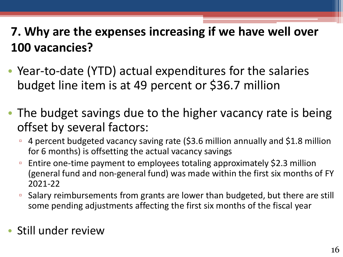#### **7. Why are the expenses increasing if we have well over 100 vacancies?**

- Year-to-date (YTD) actual expenditures for the salaries budget line item is at 49 percent or \$36.7 million
- The budget savings due to the higher vacancy rate is being offset by several factors:
	- 4 percent budgeted vacancy saving rate (\$3.6 million annually and \$1.8 million for 6 months) is offsetting the actual vacancy savings
	- Entire one-time payment to employees totaling approximately \$2.3 million (general fund and non-general fund) was made within the first six months of FY 2021-22
	- Salary reimbursements from grants are lower than budgeted, but there are still some pending adjustments affecting the first six months of the fiscal year
- Still under review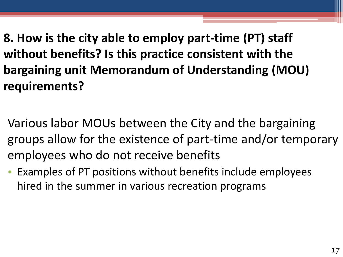**8. How is the city able to employ part-time (PT) staff without benefits? Is this practice consistent with the bargaining unit Memorandum of Understanding (MOU) requirements?**

Various labor MOUs between the City and the bargaining groups allow for the existence of part-time and/or temporary employees who do not receive benefits

• Examples of PT positions without benefits include employees hired in the summer in various recreation programs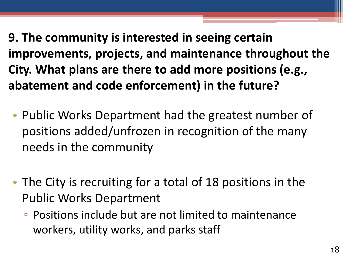**9. The community is interested in seeing certain improvements, projects, and maintenance throughout the City. What plans are there to add more positions (e.g., abatement and code enforcement) in the future?**

- Public Works Department had the greatest number of positions added/unfrozen in recognition of the many needs in the community
- The City is recruiting for a total of 18 positions in the Public Works Department
	- Positions include but are not limited to maintenance workers, utility works, and parks staff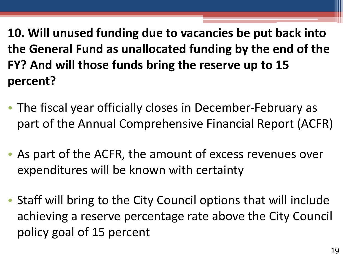**10. Will unused funding due to vacancies be put back into the General Fund as unallocated funding by the end of the FY? And will those funds bring the reserve up to 15 percent?**

- The fiscal year officially closes in December-February as part of the Annual Comprehensive Financial Report (ACFR)
- As part of the ACFR, the amount of excess revenues over expenditures will be known with certainty
- Staff will bring to the City Council options that will include achieving a reserve percentage rate above the City Council policy goal of 15 percent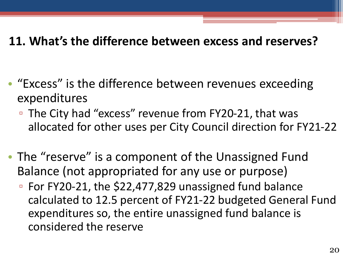#### **11. What's the difference between excess and reserves?**

- "Excess" is the difference between revenues exceeding expenditures
	- The City had "excess" revenue from FY20-21, that was allocated for other uses per City Council direction for FY21-22
- The "reserve" is a component of the Unassigned Fund Balance (not appropriated for any use or purpose)
	- For FY20-21, the \$22,477,829 unassigned fund balance calculated to 12.5 percent of FY21-22 budgeted General Fund expenditures so, the entire unassigned fund balance is considered the reserve